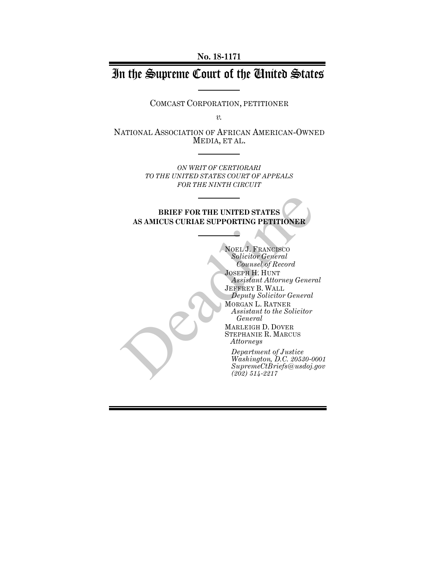**No. 18-1171**

# In the Supreme Court of the United States

COMCAST CORPORATION, PETITIONER

*v.*

NATIONAL ASSOCIATION OF AFRICAN AMERICAN-OWNED MEDIA, ET AL.

> *ON WRIT OF CERTIORARI TO THE UNITED STATES COURT OF APPEALS FOR THE NINTH CIRCUIT*

**BRIEF FOR THE UNITED STATES AS AMICUS CURIAE SUPPORTING PETITIONER**

NOEL J. FRANCISCO *Solicitor General Counsel of Record* JOSEPH H. HUNT *Assistant Attorney General* JEFFREY B. WALL *Deputy Solicitor General* MORGAN L. RATNER *Assistant to the Solicitor General* MARLEIGH D. DOVER STEPHANIE R. MARCUS *Attorneys Department of Justice Washington, D.C. 20530-0001 SupremeCtBriefs@usdoj.gov* BRIEF FOR THE UNITED STATES<br>
AS AMICUS CURIAE SUPPORTING PETITIONER<br>
NOEL J. FRANCISCO<br>
Solicitor General<br>
Counsel of Record<br>
JOSEPH H. HUNT<br>
Assistant Attorney General<br>
Deprity Solicitor General<br>
MORGAN L. RATNER<br>
Assista *(202) 514-2217*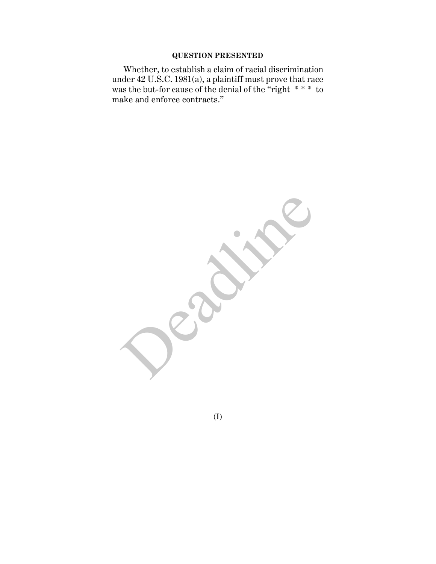## **QUESTION PRESENTED**

Whether, to establish a claim of racial discrimination under 42 U.S.C. 1981(a), a plaintiff must prove that race was the but-for cause of the denial of the "right \* \* \* to make and enforce contracts."

Deadlished

(I)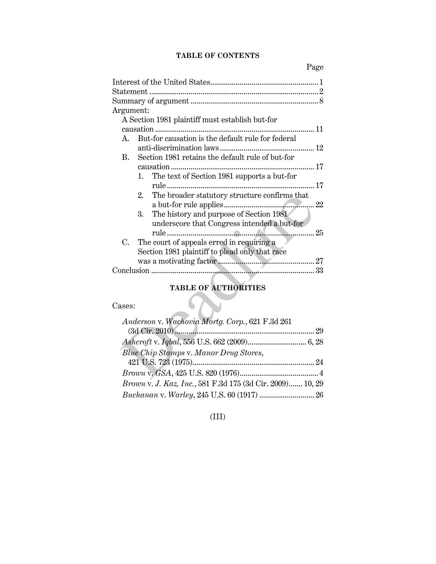## **TABLE OF CONTENTS**

| Argument:   |                                                     |  |  |  |
|-------------|-----------------------------------------------------|--|--|--|
|             | A Section 1981 plaintiff must establish but-for     |  |  |  |
|             | . 11                                                |  |  |  |
| $A_{\cdot}$ | But-for causation is the default rule for federal   |  |  |  |
|             |                                                     |  |  |  |
| B.          | Section 1981 retains the default rule of but-for    |  |  |  |
|             |                                                     |  |  |  |
|             | The text of Section 1981 supports a but-for<br>1.   |  |  |  |
|             |                                                     |  |  |  |
|             | The broader statutory structure confirms that<br>2. |  |  |  |
|             |                                                     |  |  |  |
|             | The history and purpose of Section 1981<br>3.       |  |  |  |
|             | underscore that Congress intended a but-for         |  |  |  |
|             |                                                     |  |  |  |
| $C_{\cdot}$ | The court of appeals erred in requiring a           |  |  |  |
|             | Section 1981 plaintiff to plead only that race      |  |  |  |
|             |                                                     |  |  |  |
|             |                                                     |  |  |  |
|             |                                                     |  |  |  |
|             | <b>TABLE OF AUTHORITIES</b>                         |  |  |  |
| Cases:      |                                                     |  |  |  |
|             |                                                     |  |  |  |
|             | Anderson v. Wachovia Mortg. Corp., 621 F.3d 261     |  |  |  |
|             |                                                     |  |  |  |
|             |                                                     |  |  |  |
|             | Blue Chip Stamps v. Manor Drug Stores,              |  |  |  |
|             |                                                     |  |  |  |
|             |                                                     |  |  |  |
|             |                                                     |  |  |  |

#### **TABLE OF AUTHORITIES**

## Cases:

| Anderson v. Wachovia Mortg. Corp., 621 F.3d 261           |  |
|-----------------------------------------------------------|--|
|                                                           |  |
|                                                           |  |
| Blue Chip Stamps v. Manor Drug Stores,                    |  |
|                                                           |  |
|                                                           |  |
| Brown v. J. Kaz, Inc., 581 F.3d 175 (3d Cir. 2009) 10, 29 |  |
|                                                           |  |

## (III)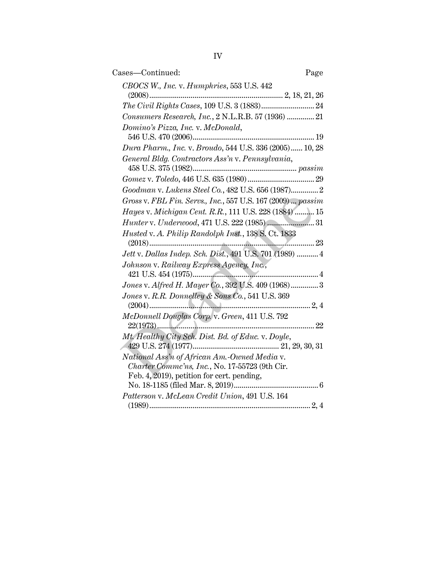| Cases—Continued:<br>Page                                                     |
|------------------------------------------------------------------------------|
| CBOCS W., Inc. v. Humphries, 553 U.S. 442                                    |
|                                                                              |
|                                                                              |
| Consumers Research, Inc., 2 N.L.R.B. 57 (1936)  21                           |
| Domino's Pizza, Inc. v. McDonald,                                            |
|                                                                              |
| Dura Pharm., Inc. v. Broudo, 544 U.S. 336 (2005) 10, 28                      |
| General Bldg. Contractors Ass'n v. Pennsylvania,<br>$458$ U.S. $375\,(1982)$ |
| $\emph{Gomez v. Toledo, 446 U.S. 635 (1980)29}$                              |
| Goodman v. Lukens Steel Co., 482 U.S. 656 (1987)2                            |
| Gross v. FBL Fin. Servs., Inc., 557 U.S. 167 (2009)  passim                  |
| Hayes v. Michigan Cent. R.R., 111 U.S. 228 (1884)  15                        |
|                                                                              |
| Husted v. A. Philip Randolph Inst., 138 S. Ct. 1833                          |
|                                                                              |
| Jett v. Dallas Indep. Sch. Dist., 491 U.S. 701 (1989)  4                     |
| Johnson v. Railway Express Agency, Inc.,                                     |
| Jones v. Alfred H. Mayer Co., 392 U.S. 409 (1968) 3                          |
| Jones v. R.R. Donnelley & Sons Co., 541 U.S. 369                             |
|                                                                              |
| McDonnell Douglas Corp. v. Green, 411 U.S. 792                               |
| Mt. Healthy City Sch. Dist. Bd. of Educ. v. Doyle,                           |
|                                                                              |
| National Ass'n of African Am.-Owned Media v.                                 |
| Charter Commc'ns, Inc., No. 17-55723 (9th Cir.                               |
| Feb. 4, 2019), petition for cert. pending,                                   |
| Patterson v. McLean Credit Union, 491 U.S. 164                               |
|                                                                              |
|                                                                              |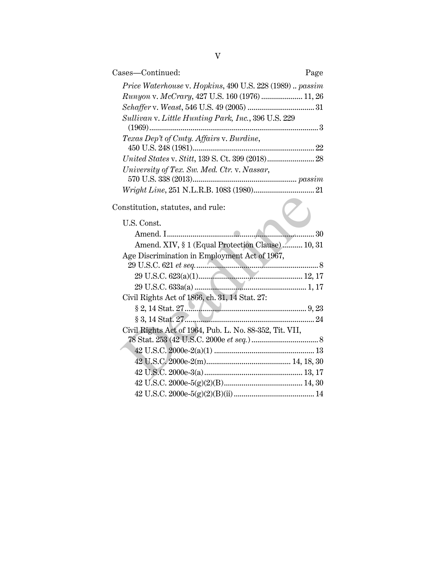| Cases-Continued:                                         | Page |
|----------------------------------------------------------|------|
| Price Waterhouse v. Hopkins, 490 U.S. 228 (1989)  passim |      |
| Runyon v. McCrary, 427 U.S. 160 (1976)  11, 26           |      |
|                                                          |      |
| Sullivan v. Little Hunting Park, Inc., 396 U.S. 229      |      |
| Texas Dep't of Cmty. Affairs v. Burdine,                 |      |
|                                                          |      |
|                                                          |      |
| University of Tex. Sw. Med. Ctr. v. Nassar,              |      |
|                                                          |      |
|                                                          |      |
| Constitution, statutes, and rule:                        |      |
| U.S. Const.                                              |      |
|                                                          | 30   |
| Amend. XIV, § 1 (Equal Protection Clause)  10, 31        |      |
| Age Discrimination in Employment Act of 1967,            |      |
|                                                          |      |
|                                                          |      |
|                                                          |      |
| Civil Rights Act of 1866, ch. 31, 14 Stat. 27:           |      |
|                                                          |      |
|                                                          |      |
| Civil Rights Act of 1964, Pub. L. No. 88-352, Tit. VII,  |      |
|                                                          |      |
|                                                          |      |
|                                                          |      |
|                                                          |      |
|                                                          |      |
|                                                          |      |
|                                                          |      |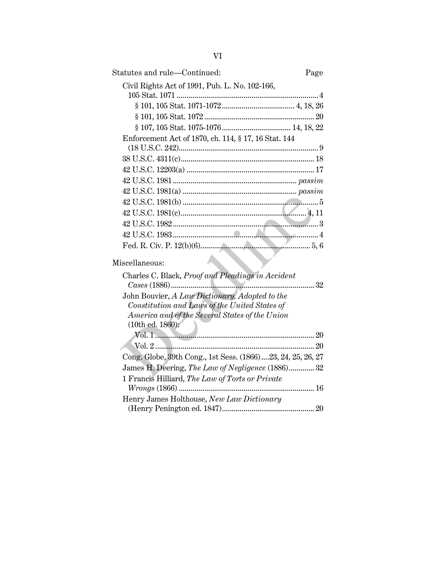| Statutes and rule—Continued:                                | Page |
|-------------------------------------------------------------|------|
| Civil Rights Act of 1991, Pub. L. No. 102-166,              |      |
|                                                             |      |
|                                                             |      |
|                                                             |      |
|                                                             |      |
| Enforcement Act of 1870, ch. 114, § 17, 16 Stat. 144        |      |
|                                                             |      |
|                                                             |      |
|                                                             |      |
|                                                             |      |
|                                                             |      |
|                                                             |      |
|                                                             |      |
|                                                             |      |
|                                                             |      |
|                                                             |      |
| Miscellaneous:                                              |      |
| Charles C. Black, Proof and Pleadings in Accident           |      |
|                                                             |      |
| John Bouvier, A Law Dictionary, Adopted to the              |      |
| Constitution and Laws of the United States of               |      |
| America and of the Several States of the Union              |      |
| (10th ed. 1860):                                            |      |
|                                                             |      |
|                                                             |      |
| Cong. Globe, 39th Cong., 1st Sess. (1866)23, 24, 25, 26, 27 |      |
| James H. Deering, The Law of Negligence (1886) 32           |      |
| 1 Francis Hilliard, The Law of Torts or Private             |      |
|                                                             |      |
| Henry James Holthouse, New Law Dictionary                   |      |
|                                                             |      |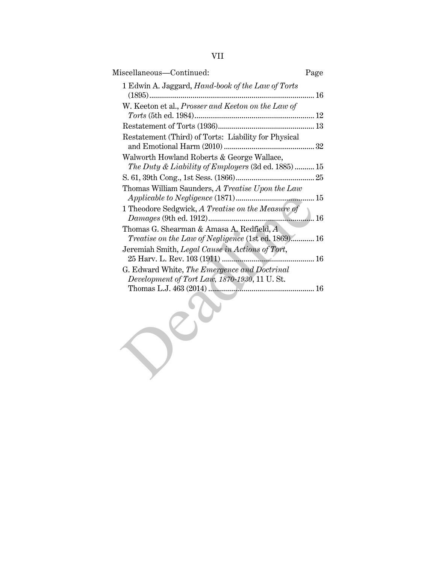| Miscellaneous-Continued:                                                                         | Page |
|--------------------------------------------------------------------------------------------------|------|
| 1 Edwin A. Jaggard, Hand-book of the Law of Torts<br>$(1895)$                                    | 16   |
| W. Keeton et al., Prosser and Keeton on the Law of                                               |      |
|                                                                                                  |      |
| Restatement (Third) of Torts: Liability for Physical                                             |      |
| Walworth Howland Roberts & George Wallace,<br>The Duty & Liability of Employers (3d ed. 1885) 15 |      |
|                                                                                                  |      |
| Thomas William Saunders, A Treatise Upon the Law                                                 |      |
|                                                                                                  |      |
| Thomas G. Shearman & Amasa A. Redfield, A<br>Treatise on the Law of Negligence (1st ed. 1869) 16 |      |
| Jeremiah Smith, Legal Cause in Actions of Tort,                                                  |      |
|                                                                                                  |      |
| G. Edward White, The Emergence and Doctrinal                                                     |      |
| Development of Tort Law, 1870-1930, 11 U.St.                                                     |      |
|                                                                                                  |      |
|                                                                                                  |      |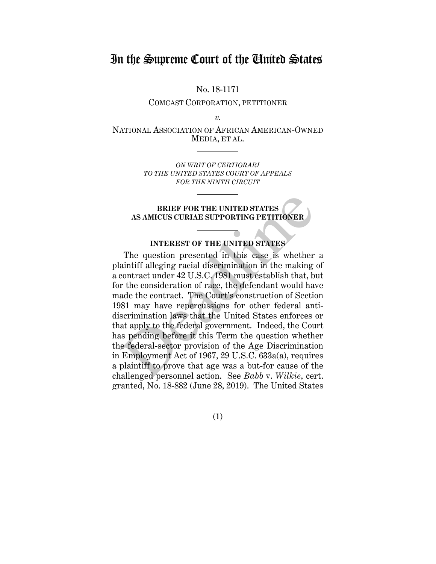## In the Supreme Court of the United States

No. 18-1171

COMCAST CORPORATION, PETITIONER

*v.*

NATIONAL ASSOCIATION OF AFRICAN AMERICAN-OWNED MEDIA, ET AL.

> *ON WRIT OF CERTIORARI TO THE UNITED STATES COURT OF APPEALS FOR THE NINTH CIRCUIT*

## **BRIEF FOR THE UNITED STATES AS AMICUS CURIAE SUPPORTING PETITIONER**

## **INTEREST OF THE UNITED STATES**

The question presented in this case is whether a plaintiff alleging racial discrimination in the making of a contract under 42 U.S.C. 1981 must establish that, but for the consideration of race, the defendant would have made the contract. The Court's construction of Section 1981 may have repercussions for other federal antidiscrimination laws that the United States enforces or that apply to the federal government. Indeed, the Court has pending before it this Term the question whether the federal-sector provision of the Age Discrimination in Employment Act of 1967, 29 U.S.C. 633a(a), requires a plaintiff to prove that age was a but-for cause of the challenged personnel action. See *Babb* v. *Wilkie*, cert. granted, No. 18 -882 (June 28, 2019). The United States BRIEF FOR THE UNITED STATES<br>AS AMICUS CURIAE SUPPORTING PETITIONER<br>INTEREST OF THE UNITED STATES<br>The question presented in this case is whether<br>aintiff alleging racial discrimination in the making<br>contract under 42 U.S.C.

(1)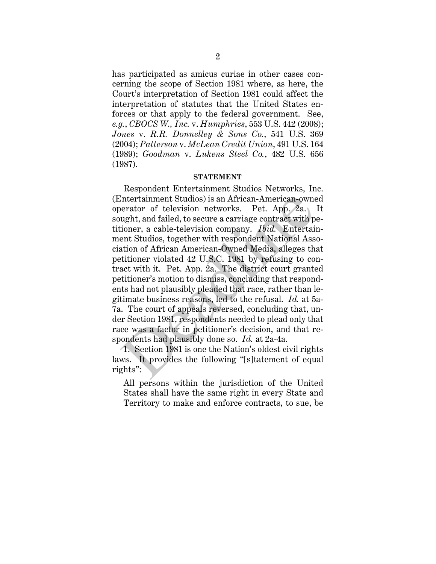has participated as amicus curiae in other cases concerning the scope of Section 1981 where, as here, the Court's interpretation of Section 1981 could affect the interpretation of statutes that the United States enforces or that apply to the federal government. See, *e.g.*, *CBOCS W., Inc.* v. *Humphries*, 553 U.S. 442 (2008); *Jones* v. *R.R. Donnelley & Sons Co.*, 541 U.S. 369 (2004); *Patterson* v. *McLean Credit Union*, 491 U.S. 164 (1989); *Goodman* v. *Lukens Steel Co.*, 482 U.S. 656 (1987).

#### **STATEMENT**

Respondent Entertainment Studios Networks, Inc. (Entertainment Studios) is an African-American-owned operator of television networks. Pet. App. 2a. It sought, and failed, to secure a carriage contract with petitioner, a cable-television company. *Ibid.* Entertainment Studios, together with respondent National Association of African American-Owned Media, alleges that petitioner violated 42 U.S.C. 1981 by refusing to contract with it. Pet. App. 2a. The district court granted petitioner's motion to dismiss, concluding that respondents had not plausibly pleaded that race, rather than legitimate business reasons, led to the refusal. *Id.* at 5a-7a. The court of appeals reversed, concluding that, under Section 1981, respondents needed to plead only that race was a factor in petitioner's decision, and that respondents had plausibly done so. *Id.* at 2a-4a. Intertainment Studios) is an African-American-ownerator of television networks. Pet. App. 2a.<br>ught, and failed, to secure a carriage contract with p<br>ioner, a cable-television company. *Ibid*. Entertai<br>ent Studios, togethe

1. Section 1981 is one the Nation's oldest civil rights laws. It provides the following "[s]tatement of equal rights":

All persons within the jurisdiction of the United States shall have the same right in every State and Territory to make and enforce contracts, to sue, be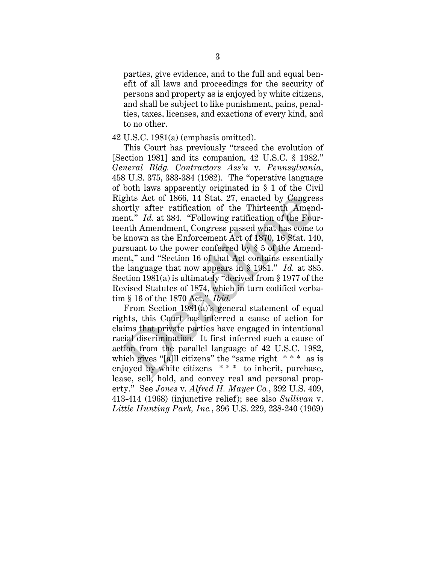parties, give evidence, and to the full and equal benefit of all laws and proceedings for the security of persons and property as is enjoyed by white citizens, and shall be subject to like punishment, pains, penalties, taxes, licenses, and exactions of every kind, and to no other.

#### 42 U.S.C. 1981(a) (emphasis omitted).

This Court has previously "traced the evolution of [Section 1981] and its companion, 42 U.S.C. § 1982." *General Bldg. Contractors Ass'n* v. *Pennsylvania*, 458 U.S. 375, 383-384 (1982). The "operative language of both laws apparently originated in § 1 of the Civil Rights Act of 1866, 14 Stat. 27, enacted by Congress shortly after ratification of the Thirteenth Amendment." *Id.* at 384. "Following ratification of the Fourteenth Amendment, Congress passed what has come to be known as the Enforcement Act of 1870, 16 Stat. 140, pursuant to the power conferred by § 5 of the Amendment," and "Section 16 of that Act contains essentially the language that now appears in § 1981." *Id.* at 385. Section 1981(a) is ultimately "derived from § 1977 of the Revised Statutes of 1874, which in turn codified verbatim § 16 of the 1870 Act." *Ibid.* ights Act of 1866, 14 Stat. 27, enacted by Congre<br>ortly after ratification of the Thirteenth Amen<br>ent." Id. at 384. "Following ratification of the Fou<br>enth Amendment, Congress passed what has come<br>exhown as the Enforcemen

From Section 1981(a)'s general statement of equal rights, this Court has inferred a cause of action for claims that private parties have engaged in intentional racial discrimination. It first inferred such a cause of action from the parallel language of 42 U.S.C. 1982, which gives "[a]ll citizens" the "same right  $***$  as is enjoyed by white citizens \*\*\* to inherit, purchase, lease, sell, hold, and convey real and personal property." See *Jones* v. *Alfred H. Mayer Co.*, 392 U.S. 409, 413-414 (1968) (injunctive relief); see also *Sullivan* v. *Little Hunting Park, Inc.*, 396 U.S. 229, 238-240 (1969)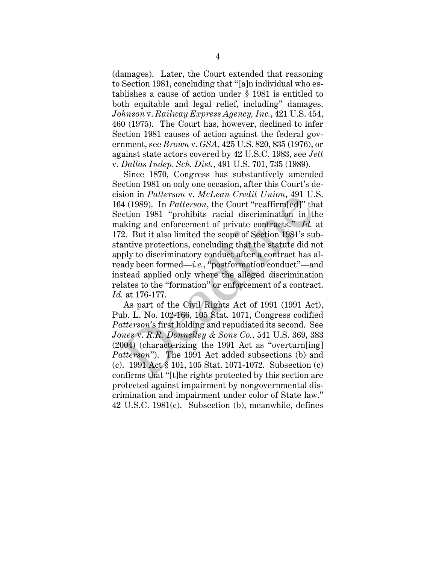(damages). Later, the Court extended that reasoning to Section 1981, concluding that "[a]n individual who establishes a cause of action under § 1981 is entitled to both equitable and legal relief, including" damages. *Johnson* v. *Railway Express Agency, Inc.*, 421 U.S. 454, 460 (1975). The Court has, however, declined to infer Section 1981 causes of action against the federal government, see *Brown* v. *GSA*, 425 U.S. 820, 835 (1976), or against state actors covered by 42 U.S.C. 1983, see *Jett* v. *Dallas Indep. Sch. Dist.*, 491 U.S. 701, 735 (1989).

Since 1870, Congress has substantively amended Section 1981 on only one occasion, after this Court's decision in *Patterson* v. *McLean Credit Union*, 491 U.S. 164 (1989). In *Patterson*, the Court "reaffirm[ed]" that Section 1981 "prohibits racial discrimination in the making and enforcement of private contracts." *Id.* at 172. But it also limited the scope of Section 1981's substantive protections, concluding that the statute did not apply to discriminatory conduct after a contract has already been formed—*i.e.*, "postformation conduct"—and instead applied only where the alleged discrimination relates to the "formation" or enforcement of a contract. *Id.* at 176-177. Sion in *Patterson* v. *McLean* Creati Crition, 491 0.<br>4 (1989). In *Patterson*, the Court "reaffirm[ed]" the ection 1981 "prohibits racial discrimination in the aking and enforcement of private contracts." *Id.*<br>2. But i

As part of the Civil Rights Act of 1991 (1991 Act), Pub. L. No. 102-166, 105 Stat. 1071, Congress codified *Patterson*'s first holding and repudiated its second. See *Jones* v. *R.R. Donnelley & Sons Co.*, 541 U.S. 369, 383 (2004) (characterizing the 1991 Act as "overturn[ing] *Patterson*"). The 1991 Act added subsections (b) and (c). 1991 Act § 101, 105 Stat. 1071-1072. Subsection (c) confirms that "[t]he rights protected by this section are protected against impairment by nongovernmental discrimination and impairment under color of State law." 42 U.S.C. 1981(c). Subsection (b), meanwhile, defines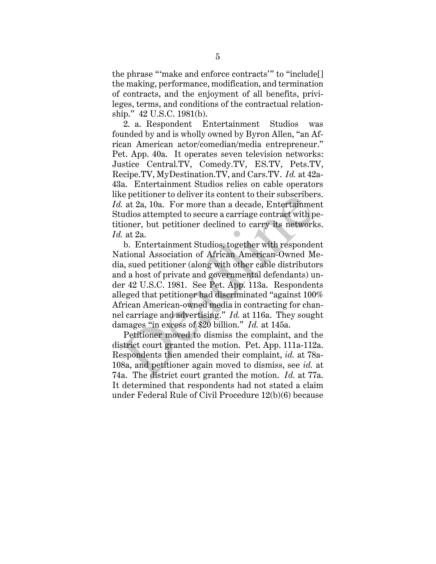the phrase "'make and enforce contracts'" to "include[] the making, performance, modification, and termination of contracts, and the enjoyment of all benefits, privileges, terms, and conditions of the contractual relationship." 42 U.S.C. 1981(b).

2. a. Respondent Entertainment Studios was founded by and is wholly owned by Byron Allen, "an African American actor/comedian/media entrepreneur." Pet. App. 40a. It operates seven television networks: Justice Central.TV, Comedy.TV, ES.TV, Pets.TV, Recipe.TV, MyDestination.TV, and Cars.TV. *Id.* at 42a-43a. Entertainment Studios relies on cable operators like petitioner to deliver its content to their subscribers. *Id.* at 2a, 10a. For more than a decade, Entertainment Studios attempted to secure a carriage contract with petitioner, but petitioner declined to carry its networks. *Id.* at 2a.

b. Entertainment Studios, together with respondent National Association of African American-Owned Media, sued petitioner (along with other cable distributors and a host of private and governmental defendants) under 42 U.S.C. 1981. See Pet. App. 113a. Respondents alleged that petitioner had discriminated "against 100% African American-owned media in contracting for channel carriage and advertising." *Id.* at 116a. They sought damages "in excess of \$20 billion." *Id.* at 145a. Let  $\alpha$  at  $12a$ , 10a. For more than a decade, Entertainment at  $2a$ , 10a. For more than a decade, Entertainment adios attempted to secure a carriage contract with pioner, but petitioner declined to carry its network at

Petitioner moved to dismiss the complaint, and the district court granted the motion. Pet. App. 111a-112a. Respondents then amended their complaint, *id.* at 78a-108a, and petitioner again moved to dismiss, see *id.* at 74a. The district court granted the motion. *Id.* at 77a. It determined that respondents had not stated a claim under Federal Rule of Civil Procedure 12(b)(6) because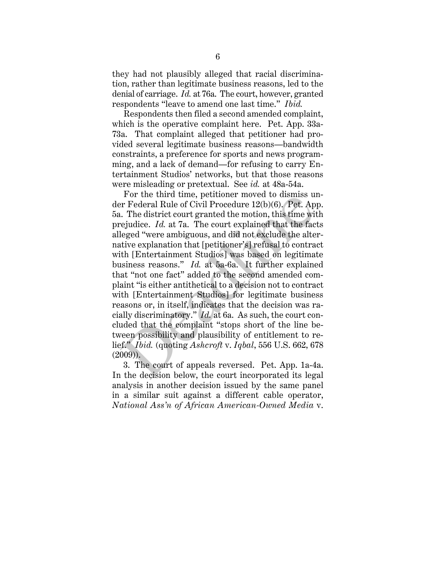they had not plausibly alleged that racial discrimination, rather than legitimate business reasons, led to the denial of carriage. *Id.* at 76a. The court, however, granted respondents "leave to amend one last time." *Ibid.*

Respondents then filed a second amended complaint, which is the operative complaint here. Pet. App. 33a-73a. That complaint alleged that petitioner had provided several legitimate business reasons—bandwidth constraints, a preference for sports and news programming, and a lack of demand—for refusing to carry Entertainment Studios' networks, but that those reasons were misleading or pretextual. See *id.* at 48a-54a.

For the third time, petitioner moved to dismiss under Federal Rule of Civil Procedure 12(b)(6). Pet. App. 5a. The district court granted the motion, this time with prejudice. *Id.* at 7a. The court explained that the facts alleged "were ambiguous, and did not exclude the alternative explanation that [petitioner's] refusal to contract with [Entertainment Studios] was based on legitimate business reasons." *Id.* at 5a-6a. It further explained that "not one fact" added to the second amended complaint "is either antithetical to a decision not to contract with [Entertainment Studios] for legitimate business reasons or, in itself, indicates that the decision was racially discriminatory." *Id.* at 6a. As such, the court concluded that the complaint "stops short of the line between possibility and plausibility of entitlement to relief." *Ibid.* (quoting *Ashcroft* v. *Iqbal*, 556 U.S. 662, 678 (2009)). For the third time, petitioner moved to dismiss a<br>ir Federal Rule of Civil Procedure 12(b)(6). Pet. Ap<br>.. The district court granted the motion, this time wi<br>ejudice. Id. at 7a. The court explained that the face<br>geged "we

3. The court of appeals reversed. Pet. App. 1a-4a. In the decision below, the court incorporated its legal analysis in another decision issued by the same panel in a similar suit against a different cable operator, *National Ass'n of African American-Owned Media* v.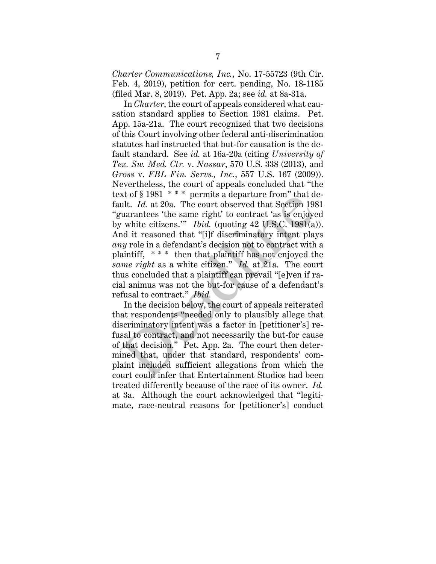*Charter Communications, Inc.*, No. 17-55723 (9th Cir. Feb. 4, 2019), petition for cert. pending, No. 18-1185 (filed Mar. 8, 2019). Pet. App. 2a; see *id.* at 8a-31a.

In *Charter*, the court of appeals considered what causation standard applies to Section 1981 claims. Pet. App. 15a-21a. The court recognized that two decisions of this Court involving other federal anti-discrimination statutes had instructed that but-for causation is the default standard. See *id.* at 16a-20a (citing *University of Tex. Sw. Med. Ctr.* v. *Nassar*, 570 U.S. 338 (2013), and *Gross* v. *FBL Fin. Servs., Inc.*, 557 U.S. 167 (2009)). Nevertheless, the court of appeals concluded that "the text of  $§$  1981 \*\*\* permits a departure from" that default. *Id.* at 20a. The court observed that Section 1981 "guarantees 'the same right' to contract 'as is enjoyed by white citizens.'" *Ibid.* (quoting 42 U.S.C. 1981(a)). And it reasoned that "[i]f discriminatory intent plays *any* role in a defendant's decision not to contract with a plaintiff, \* \* \* then that plaintiff has not enjoyed the *same right* as a white citizen." *Id.* at 21a. The court thus concluded that a plaintiff can prevail "[e]ven if racial animus was not the but-for cause of a defendant's refusal to contract." *Ibid.* Xt of 8 1981 The permits a departure from that dult. *Id.* at 20a. The court observed that Section 198<br>uarantees 'the same right' to contract 'as is enjoyer white citizens." *Ibid.* (quoting 42 U.S.C. 1981(a)<br>and it reaso

In the decision below, the court of appeals reiterated that respondents "needed only to plausibly allege that discriminatory intent was a factor in [petitioner's] refusal to contract, and not necessarily the but-for cause of that decision." Pet. App. 2a. The court then determined that, under that standard, respondents' complaint included sufficient allegations from which the court could infer that Entertainment Studios had been treated differently because of the race of its owner. *Id.* at 3a. Although the court acknowledged that "legitimate, race-neutral reasons for [petitioner's] conduct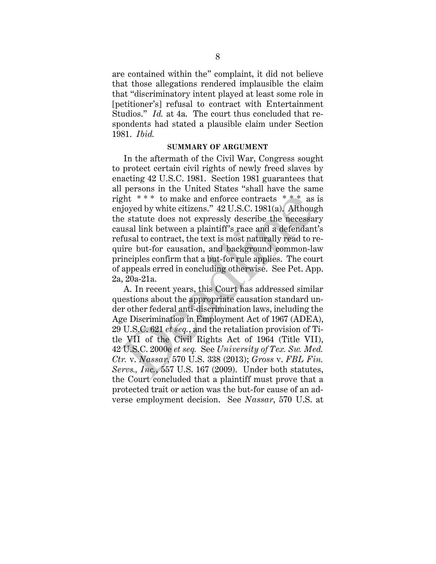are contained within the" complaint, it did not believe that those allegations rendered implausible the claim that "discriminatory intent played at least some role in [petitioner's] refusal to contract with Entertainment Studios." *Id.* at 4a. The court thus concluded that respondents had stated a plausible claim under Section 1981. *Ibid.*

#### **SUMMARY OF ARGUMENT**

In the aftermath of the Civil War, Congress sought to protect certain civil rights of newly freed slaves by enacting 42 U.S.C. 1981. Section 1981 guarantees that all persons in the United States "shall have the same right  $***$  to make and enforce contracts  $***$  as is enjoyed by white citizens." 42 U.S.C. 1981(a). Although the statute does not expressly describe the necessary causal link between a plaintiff's race and a defendant's refusal to contract, the text is most naturally read to require but-for causation, and background common-law principles confirm that a but-for rule applies. The court of appeals erred in concluding otherwise. See Pet. App. 2a, 20a-21a.

A. In recent years, this Court has addressed similar questions about the appropriate causation standard under other federal anti-discrimination laws, including the Age Discrimination in Employment Act of 1967 (ADEA), 29 U.S.C. 621 *et seq.*, and the retaliation provision of Title VII of the Civil Rights Act of 1964 (Title VII), 42 U.S.C. 2000e *et seq.* See *University of Tex. Sw. Med. Ctr.* v. *Nassar*, 570 U.S. 338 (2013); *Gross* v. *FBL Fin. Servs., Inc.*, 557 U.S. 167 (2009). Under both statutes, the Court concluded that a plaintiff must prove that a protected trait or action was the but-for cause of an adverse employment decision. See *Nassar*, 570 U.S. at ght \*\*\* to make and enforce contracts \*\*\* as<br>joyed by white citizens."  $42 \text{ U.S.C. } 1981(a)$ . Althouge statute does not expressly describe the necessar<br>usal link between a plaintiff's race and a defendant<br>fusal to contract,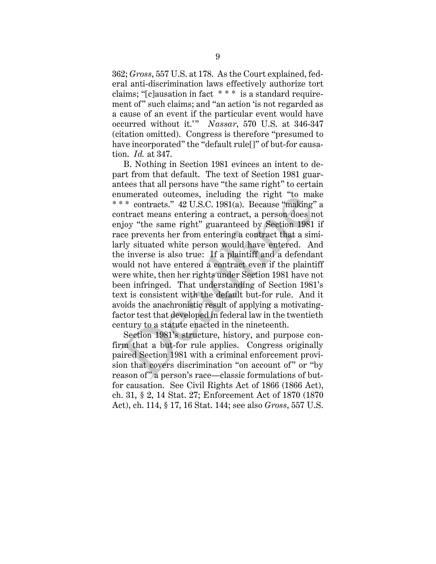362; *Gross*, 557 U.S. at 178. As the Court explained, federal anti-discrimination laws effectively authorize tort claims; "[c]ausation in fact \* \* \* is a standard requirement of" such claims; and "an action 'is not regarded as a cause of an event if the particular event would have occurred without it." *Nassar*, 570 U.S. at 346-347 (citation omitted). Congress is therefore "presumed to have incorporated" the "default rule<sup>[]"</sup> of but-for causation. *Id.* at 347.

B. Nothing in Section 1981 evinces an intent to depart from that default. The text of Section 1981 guarantees that all persons have "the same right" to certain enumerated outcomes, including the right "to make \* \* \* contracts." 42 U.S.C. 1981(a). Because "making" a contract means entering a contract, a person does not enjoy "the same right" guaranteed by Section 1981 if race prevents her from entering a contract that a similarly situated white person would have entered. And the inverse is also true: If a plaintiff and a defendant would not have entered a contract even if the plaintiff were white, then her rights under Section 1981 have not been infringed. That understanding of Section 1981's text is consistent with the default but-for rule. And it avoids the anachronistic result of applying a motivatingfactor test that developed in federal law in the twentieth century to a statute enacted in the nineteenth. immerated outcomes, including the right to man<br>\*\* contracts." 42 U.S.C. 1981(a). Because "making"<br>ntract means entering a contract, a person does n<br>joy "the same right" guaranteed by Section 1981<br>ce prevents her from enter

Section 1981's structure, history, and purpose confirm that a but-for rule applies. Congress originally paired Section 1981 with a criminal enforcement provision that covers discrimination "on account of" or "by reason of" a person's race—classic formulations of butfor causation. See Civil Rights Act of 1866 (1866 Act), ch. 31, § 2, 14 Stat. 27; Enforcement Act of 1870 (1870 Act), ch. 114, § 17, 16 Stat. 144; see also *Gross*, 557 U.S.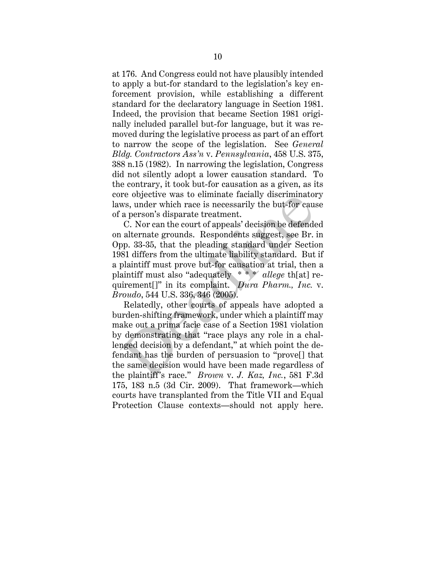at 176. And Congress could not have plausibly intended to apply a but-for standard to the legislation's key enforcement provision, while establishing a different standard for the declaratory language in Section 1981. Indeed, the provision that became Section 1981 originally included parallel but-for language, but it was removed during the legislative process as part of an effort to narrow the scope of the legislation. See *General Bldg. Contractors Ass'n* v. *Pennsylvania*, 458 U.S. 375, 388 n.15 (1982). In narrowing the legislation, Congress did not silently adopt a lower causation standard. To the contrary, it took but-for causation as a given, as its core objective was to eliminate facially discriminatory laws, under which race is necessarily the but-for cause of a person's disparate treatment.

C. Nor can the court of appeals' decision be defended on alternate grounds. Respondents suggest, see Br. in Opp. 33-35, that the pleading standard under Section 1981 differs from the ultimate liability standard. But if a plaintiff must prove but-for causation at trial, then a plaintiff must also "adequately \* \* \* *allege* th[at] requirement[]" in its complaint. *Dura Pharm., Inc.* v. *Broudo*, 544 U.S. 336, 346 (2005).

Relatedly, other courts of appeals have adopted a burden-shifting framework, under which a plaintiff may make out a prima facie case of a Section 1981 violation by demonstrating that "race plays any role in a challenged decision by a defendant," at which point the defendant has the burden of persuasion to "prove[] that the same decision would have been made regardless of the plaintiff's race." *Brown* v. *J. Kaz, Inc.*, 581 F.3d 175, 183 n.5 (3d Cir. 2009). That framework—which courts have transplanted from the Title VII and Equal Protection Clause contexts—should not apply here. re objective was to enfiniate racially discriminations, under which race is necessarily the but-for cause a person's disparate treatment.<br>C. Nor can the court of appeals' decision be defended alternate grounds. Respondent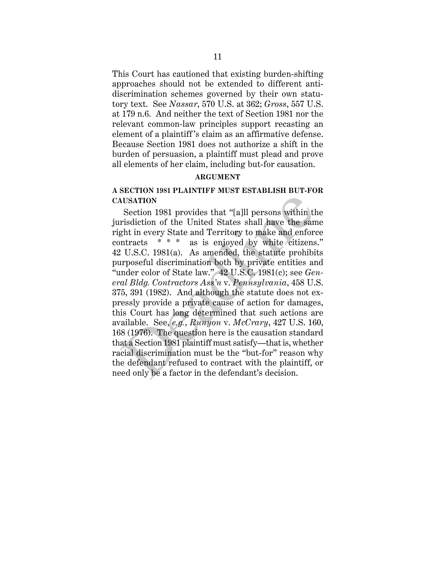This Court has cautioned that existing burden-shifting approaches should not be extended to different antidiscrimination schemes governed by their own statutory text. See *Nassar*, 570 U.S. at 362; *Gross*, 557 U.S. at 179 n.6. And neither the text of Section 1981 nor the relevant common-law principles support recasting an element of a plaintiff  's claim as an affirmative defense. Because Section 1981 does not authorize a shift in the burden of persuasion, a plaintiff must plead and prove all elements of her claim, including but-for causation.

#### **ARGUMENT**

## **A SECTION 1981 PLAINTIFF MUST ESTABLISH BUT-FOR CAUSATION**

Section 1981 provides that "[a]ll persons within the jurisdiction of the United States shall have the same right in every State and Territory to make and enforce contracts \* \* \* as is enjoyed by white citizens." 42 U.S.C. 1981(a). As amended, the statute prohibits purposeful discrimination both by private entities and "under color of State law." 42 U.S.C. 1981(c); see *General Bldg. Contractors Ass'n* v. *Pennsylvania*, 458 U.S. 375, 391 (1982). And although the statute does not expressly provide a private cause of action for damages, this Court has long determined that such actions are available. See, *e.g.*, *Runyon* v. *McCrary*, 427 U.S. 160, 168 (1976). The question here is the causation standard that a Section 1981 plaintiff must satisfy—that is, whether racial discrimination must be the "but-for" reason why the defendant refused to contract with the plaintiff, or need only be a factor in the defendant's decision. **NUSATION**<br>Section 1981 provides that "[a]]] persons within the<br>risdiction of the United States shall have the sanght in every State and Territory to make and enfor<br>ntracts  $****$  as is enjoyed by white citizens<br> $: U.S.C.$  198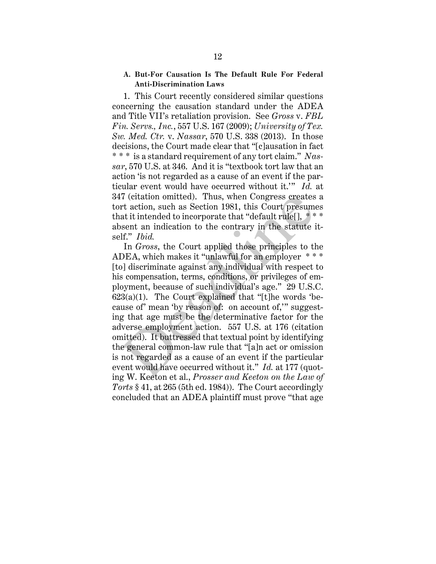## **A. But-For Causation Is The Default Rule For Federal Anti-Discrimination Laws**

1. This Court recently considered similar questions concerning the causation standard under the ADEA and Title VII's retaliation provision. See *Gross* v. *FBL Fin. Servs., Inc.*, 557 U.S. 167 (2009); *University of Tex. Sw. Med. Ctr.* v. *Nassar*, 570 U.S. 338 (2013). In those decisions, the Court made clear that "[c]ausation in fact \* \* \* is a standard requirement of any tort claim." *Nassar*, 570 U.S. at 346. And it is "textbook tort law that an action 'is not regarded as a cause of an event if the particular event would have occurred without it.'" *Id.* at 347 (citation omitted). Thus, when Congress creates a tort action, such as Section 1981, this Court presumes that it intended to incorporate that "default rule[], \* \* \* absent an indication to the contrary in the statute itself." *Ibid.*

In *Gross*, the Court applied those principles to the ADEA, which makes it "unlawful for an employer \* \* \* [to] discriminate against any individual with respect to his compensation, terms, conditions, or privileges of employment, because of such individual's age." 29 U.S.C.  $623(a)(1)$ . The Court explained that "[t]he words 'because of' mean 'by reason of: on account of,'" suggesting that age must be the determinative factor for the adverse employment action. 557 U.S. at 176 (citation omitted). It buttressed that textual point by identifying the general common-law rule that "[a]n act or omission is not regarded as a cause of an event if the particular event would have occurred without it." *Id.* at 177 (quoting W. Keeton et al., *Prosser and Keeton on the Law of Torts* § 41, at 265 (5th ed. 1984)). The Court accordingly concluded that an ADEA plaintiff must prove "that age 7 (citation omitted). Thus, when Congress creates<br>rt action, such as Section 1981, this Court presume<br>at it intended to incorporate that "default rule[],  $*$ <br>sent an indication to the contrary in the statute i<br>If." Ibid.<br>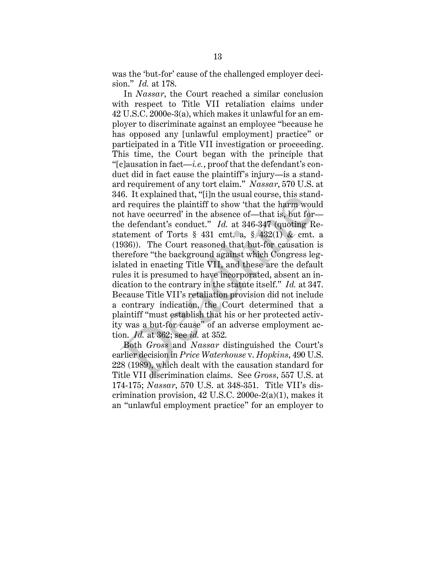was the 'but-for' cause of the challenged employer decision." *Id.* at 178.

In *Nassar*, the Court reached a similar conclusion with respect to Title VII retaliation claims under 42 U.S.C. 2000e-3(a), which makes it unlawful for an employer to discriminate against an employee "because he has opposed any [unlawful employment] practice" or participated in a Title VII investigation or proceeding. This time, the Court began with the principle that "[c]ausation in fact—*i.e.*, proof that the defendant's conduct did in fact cause the plaintiff's injury—is a standard requirement of any tort claim." *Nassar*, 570 U.S. at 346. It explained that, "[i]n the usual course, this standard requires the plaintiff to show 'that the harm would not have occurred' in the absence of—that is, but for the defendant's conduct." *Id.* at 346-347 (quoting Restatement of Torts  $\S$  431 cmt. a,  $\S$  432(1) & cmt. a (1936)). The Court reasoned that but-for causation is therefore "the background against which Congress legislated in enacting Title VII, and these are the default rules it is presumed to have incorporated, absent an indication to the contrary in the statute itself." *Id.* at 347. Because Title VII's retaliation provision did not include a contrary indication, the Court determined that a plaintiff "must establish that his or her protected activity was a but-for cause" of an adverse employment action. *Id.* at 362; see *id.* at 352. o. It explained that, [1] in the usual course, this stand<br>d requires the plaintiff to show 'that the harm wou<br>t have occurred' in the absence of—that is, but for-<br>e defendant's conduct." Id. at 346-347 (quoting R<br>atement

Both *Gross* and *Nassar* distinguished the Court's earlier decision in *Price Waterhouse* v. *Hopkins*, 490 U.S. 228 (1989), which dealt with the causation standard for Title VII discrimination claims. See *Gross*, 557 U.S. at 174-175; *Nassar*, 570 U.S. at 348-351. Title VII's discrimination provision, 42 U.S.C. 2000e-2(a)(1), makes it an "unlawful employment practice" for an employer to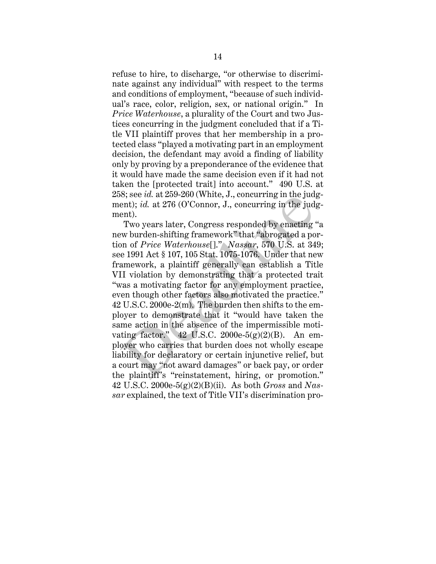refuse to hire, to discharge, "or otherwise to discriminate against any individual" with respect to the terms and conditions of employment, "because of such individual's race, color, religion, sex, or national origin." In *Price Waterhouse*, a plurality of the Court and two Justices concurring in the judgment concluded that if a Title VII plaintiff proves that her membership in a protected class "played a motivating part in an employment decision, the defendant may avoid a finding of liability only by proving by a preponderance of the evidence that it would have made the same decision even if it had not taken the [protected trait] into account." 490 U.S. at 258; see *id.* at 259-260 (White, J., concurring in the judgment); *id.* at 276 (O'Connor, J., concurring in the judgment).

Two years later, Congress responded by enacting "a new burden-shifting framework" that "abrogated a portion of *Price Waterhouse*[]." *Nassar*, 570 U.S. at 349; see 1991 Act § 107, 105 Stat. 1075-1076. Under that new framework, a plaintiff generally can establish a Title VII violation by demonstrating that a protected trait "was a motivating factor for any employment practice, even though other factors also motivated the practice." 42 U.S.C. 2000e-2(m). The burden then shifts to the employer to demonstrate that it "would have taken the same action in the absence of the impermissible motivating factor."  $42$  U.S.C. 2000e-5(g)(2)(B). An employer who carries that burden does not wholly escape liability for declaratory or certain injunctive relief, but a court may "not award damages" or back pay, or order the plaintiff's "reinstatement, hiring, or promotion." 42 U.S.C. 2000e-5(g)(2)(B)(ii).As both *Gross* and *Nassar* explained, the text of Title VII's discrimination probe, see *ta.* at 259-200 (white, J., concurring in the judgent); *id.* at 276 (O'Connor, J., concurring in the judgent).<br>Two years later, Congress responded by enacting 'who burden-shifting framework" that "abrogated a po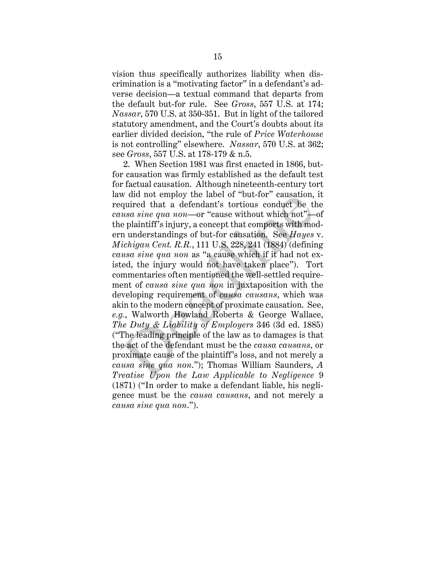vision thus specifically authorizes liability when discrimination is a "motivating factor" in a defendant's adverse decision—a textual command that departs from the default but-for rule. See *Gross*, 557 U.S. at 174; *Nassar*, 570 U.S. at 350-351. But in light of the tailored statutory amendment, and the Court's doubts about its earlier divided decision, "the rule of *Price Waterhouse* is not controlling" elsewhere. *Nassar*, 570 U.S. at 362; see *Gross*, 557 U.S. at 178-179 & n.5.

2. When Section 1981 was first enacted in 1866, butfor causation was firmly established as the default test for factual causation. Although nineteenth-century tort law did not employ the label of "but-for" causation, it required that a defendant's tortious conduct be the *causa sine qua non*—or "cause without which not"—of the plaintiff's injury, a concept that comports with modern understandings of but-for causation. See *Hayes* v. *Michigan Cent. R.R.*, 111 U.S. 228, 241 (1884) (defining *causa sine qua non* as "a cause which if it had not existed, the injury would not have taken place"). Tort commentaries often mentioned the well-settled requirement of *causa sine qua non* in juxtaposition with the developing requirement of *causa causans*, which was akin to the modern concept of proximate causation. See, *e.g.*, Walworth Howland Roberts & George Wallace, *The Duty & Liability of Employers* 346 (3d ed. 1885) ("The leading principle of the law as to damages is that the act of the defendant must be the *causa causans*, or proximate cause of the plaintiff's loss, and not merely a *causa sine qua non*."); Thomas William Saunders, *A Treatise Upon the Law Applicable to Negligence* 9 (1871) ("In order to make a defendant liable, his negligence must be the *causa causans*, and not merely a *causa sine qua non*."). We did not employ the label of out-for causation,<br>quired that a defendant's tortious conduct be the<br>usa sine qua non—or "cause without which not"—<br>e plaintiff's injury, a concept that comports with mo<br>n understandings of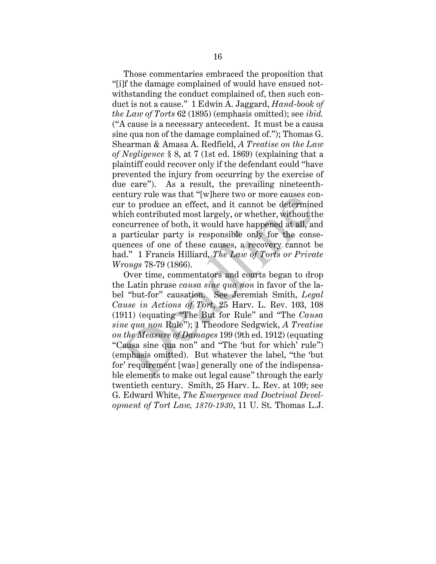Those commentaries embraced the proposition that "[i]f the damage complained of would have ensued notwithstanding the conduct complained of, then such conduct is not a cause." 1 Edwin A. Jaggard, *Hand-book of the Law of Torts* 62 (1895) (emphasis omitted); see *ibid.* ("A cause is a necessary antecedent. It must be a causa sine qua non of the damage complained of."); Thomas G. Shearman & Amasa A. Redfield, *A Treatise on the Law of Negligence* § 8, at 7 (1st ed. 1869) (explaining that a plaintiff could recover only if the defendant could "have prevented the injury from occurring by the exercise of due care"). As a result, the prevailing nineteenthcentury rule was that "[w]here two or more causes concur to produce an effect, and it cannot be determined which contributed most largely, or whether, without the concurrence of both, it would have happened at all, and a particular party is responsible only for the consequences of one of these causes, a recovery cannot be had." 1 Francis Hilliard, *The Law of Torts or Private Wrongs* 78-79 (1866).

Over time, commentators and courts began to drop the Latin phrase *causa sine qua non* in favor of the label "but-for" causation. See Jeremiah Smith, *Legal Cause in Actions of Tort*, 25 Harv. L. Rev. 103, 108 (1911) (equating "The But for Rule" and "The *Causa sine qua non* Rule"); 1 Theodore Sedgwick, *A Treatise on the Measure of Damages* 199 (9th ed. 1912) (equating "Causa sine qua non" and "The 'but for which' rule") (emphasis omitted). But whatever the label, "the 'but for' requirement [was] generally one of the indispensable elements to make out legal cause" through the early twentieth century. Smith, 25 Harv. L. Rev. at 109; see G. Edward White, *The Emergence and Doctrinal Development of Tort Law, 1870-1930*, 11 U. St. Thomas L.J. ntury rue was that [w]nere two or more causes co<br>r to produce an effect, and it cannot be determine<br>hich contributed most largely, or whether, without th<br>neurrence of both, it would have happened at all, at<br>particular part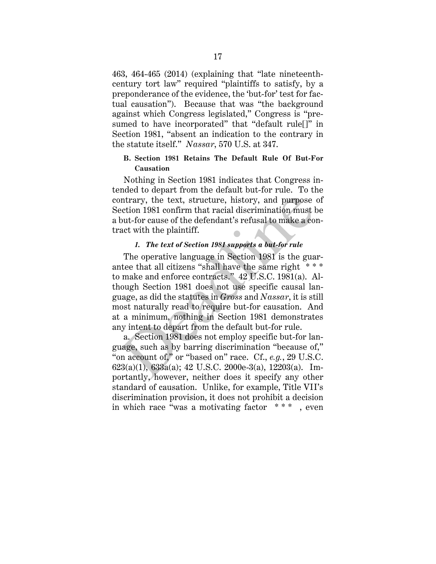463, 464-465 (2014) (explaining that "late nineteenthcentury tort law" required "plaintiffs to satisfy, by a preponderance of the evidence, the 'but-for' test for factual causation"). Because that was "the background against which Congress legislated," Congress is "presumed to have incorporated" that "default rule[]" in Section 1981, "absent an indication to the contrary in the statute itself." *Nassar*, 570 U.S. at 347.

## **B. Section 1981 Retains The Default Rule Of But-For Causation**

Nothing in Section 1981 indicates that Congress intended to depart from the default but-for rule. To the contrary, the text, structure, history, and purpose of Section 1981 confirm that racial discrimination must be a but-for cause of the defendant's refusal to make a contract with the plaintiff.

#### *1. The text of Section 1981 supports a but-for rule*

The operative language in Section 1981 is the guarantee that all citizens "shall have the same right \*\*\* to make and enforce contracts." 42 U.S.C. 1981(a). Although Section 1981 does not use specific causal language, as did the statutes in *Gross* and *Nassar*, it is still most naturally read to require but-for causation. And at a minimum, nothing in Section 1981 demonstrates any intent to depart from the default but-for rule. ntrary, the text, structure, history, and purpose<br>ection 1981 confirm that racial discrimination must b<br>out-for cause of the defendant's refusal to make a co<br>act with the plaintiff.<br>I. The text of Section 1981 supports a

a. Section 1981 does not employ specific but-for language, such as by barring discrimination "because of," "on account of," or "based on" race. Cf., *e.g.*, 29 U.S.C.  $623(a)(1)$ ,  $633a(a)$ ;  $42$  U.S.C.  $2000e-3(a)$ ,  $12203(a)$ . Importantly, however, neither does it specify any other standard of causation. Unlike, for example, Title VII's discrimination provision, it does not prohibit a decision in which race "was a motivating factor  $***$ , even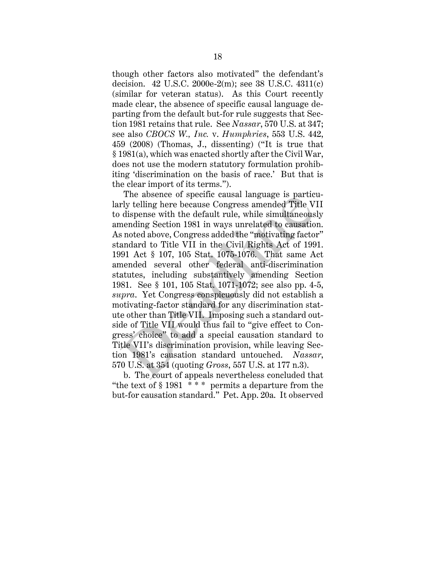though other factors also motivated" the defendant's decision. 42 U.S.C. 2000e-2(m); see 38 U.S.C. 4311(c) (similar for veteran status). As this Court recently made clear, the absence of specific causal language departing from the default but-for rule suggests that Section 1981 retains that rule. See *Nassar*, 570 U.S. at 347; see also *CBOCS W., Inc.* v. *Humphries*, 553 U.S. 442, 459 (2008) (Thomas, J., dissenting) ("It is true that § 1981(a), which was enacted shortly after the Civil War, does not use the modern statutory formulation prohibiting 'discrimination on the basis of race.' But that is the clear import of its terms.").

The absence of specific causal language is particularly telling here because Congress amended Title VII to dispense with the default rule, while simultaneously amending Section 1981 in ways unrelated to causation. As noted above, Congress added the "motivating factor" standard to Title VII in the Civil Rights Act of 1991. 1991 Act § 107, 105 Stat. 1075-1076. That same Act amended several other federal anti-discrimination statutes, including substantively amending Section 1981. See § 101, 105 Stat. 1071-1072; see also pp. 4-5, *supra*. Yet Congress conspicuously did not establish a motivating-factor standard for any discrimination statute other than Title VII. Imposing such a standard outside of Title VII would thus fail to "give effect to Congress' choice" to add a special causation standard to Title VII's discrimination provision, while leaving Section 1981's causation standard untouched. *Nassar*, 570 U.S. at 354 (quoting *Gross*, 557 U.S. at 177 n.3). The absence of specific causal language is partic<br>rly telling here because Congress amended Title V<br>dispense with the default rule, while simultaneous<br>nending Section 1981 in ways unrelated to causatio<br>noted above, Congre

b. The court of appeals nevertheless concluded that "the text of  $\S 1981$  \*\*\* permits a departure from the but-for causation standard." Pet. App. 20a. It observed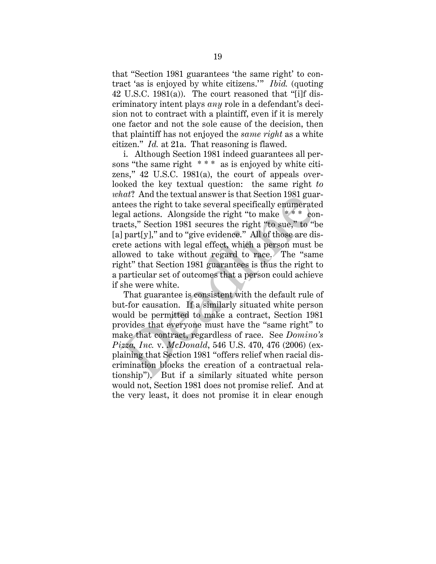that "Section 1981 guarantees 'the same right' to contract 'as is enjoyed by white citizens.'" *Ibid.* (quoting 42 U.S.C. 1981(a)). The court reasoned that "[i]f discriminatory intent plays *any* role in a defendant's decision not to contract with a plaintiff, even if it is merely one factor and not the sole cause of the decision, then that plaintiff has not enjoyed the *same right* as a white citizen." *Id.* at 21a. That reasoning is flawed.

i. Although Section 1981 indeed guarantees all persons "the same right \* \* \* as is enjoyed by white citizens," 42 U.S.C. 1981(a), the court of appeals overlooked the key textual question: the same right *to what*? And the textual answer is that Section 1981 guarantees the right to take several specifically enumerated legal actions. Alongside the right "to make \* \* \* contracts," Section 1981 secures the right "to sue," to "be [a] part[y]," and to "give evidence." All of those are discrete actions with legal effect, which a person must be allowed to take without regard to race. The "same right" that Section 1981 guarantees is thus the right to a particular set of outcomes that a person could achieve if she were white. *Mati.* And the textual answer is that section 1981 guatees the right to take several specifically enumerate<br>gal actions. Alongside the right "to make  $** * c$  coats," Section 1981 secures the right "to sue," to "leart[y],"

That guarantee is consistent with the default rule of but-for causation. If a similarly situated white person would be permitted to make a contract, Section 1981 provides that everyone must have the "same right" to make that contract, regardless of race. See *Domino's Pizza, Inc.* v. *McDonald*, 546 U.S. 470, 476 (2006) (explaining that Section 1981 "offers relief when racial discrimination blocks the creation of a contractual relationship"). But if a similarly situated white person would not, Section 1981 does not promise relief. And at the very least, it does not promise it in clear enough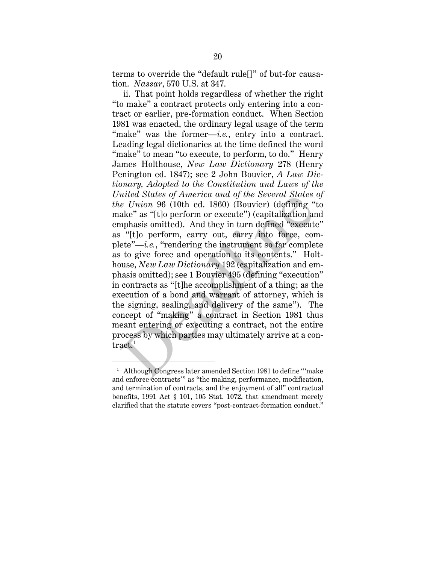terms to override the "default rule[]" of but-for causation. *Nassar*, 570 U.S. at 347.

ii. That point holds regardless of whether the right "to make" a contract protects only entering into a contract or earlier, pre-formation conduct. When Section 1981 was enacted, the ordinary legal usage of the term "make" was the former—*i.e.*, entry into a contract. Leading legal dictionaries at the time defined the word "make" to mean "to execute, to perform, to do." Henry James Holthouse, *New Law Dictionary* 278 (Henry Penington ed. 1847); see 2 John Bouvier, *A Law Dictionary, Adopted to the Constitution and Laws of the United States of America and of the Several States of the Union* 96 (10th ed. 1860) (Bouvier) (defining "to make" as "[t]o perform or execute") (capitalization and emphasis omitted). And they in turn defined "execute" as "[t]o perform, carry out, carry into force, complete"—*i.e.*, "rendering the instrument so far complete as to give force and operation to its contents." Holthouse, *New Law Dictionary* 192 (capitalization and emphasis omitted); see 1 Bouvier 495 (defining "execution" in contracts as "[t]he accomplishment of a thing; as the execution of a bond and warrant of attorney, which is the signing, sealing, and delivery of the same"). The concept of "making" a contract in Section 1981 thus meant entering or executing a contract, not the entire process by which parties may ultimately arrive at a contract.<sup>1</sup> mued States of America and of the Several States<br>
e Union 96 (10th ed. 1860) (Bouvier) (defining "<br>
ake" as "[t]o perform or execute") (capitalization an<br>
nphasis omitted). And they in turn defined "execut<br>
"[t]o perform,

 $\ddot{\phantom{a}}$ 

<sup>&</sup>lt;sup>1</sup> Although Congress later amended Section 1981 to define "'make and enforce contracts'" as "the making, performance, modification, and termination of contracts, and the enjoyment of all" contractual benefits, 1991 Act § 101, 105 Stat. 1072, that amendment merely clarified that the statute covers "post-contract-formation conduct."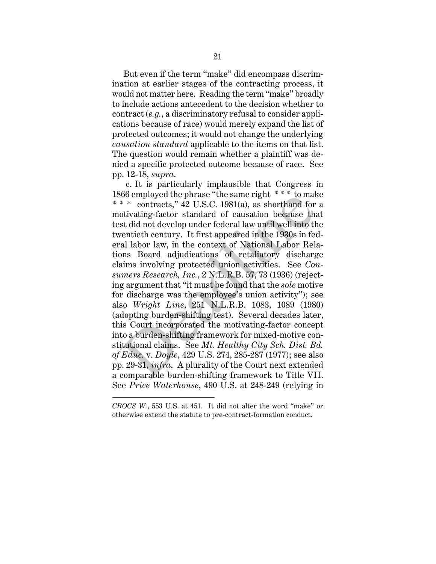But even if the term "make" did encompass discrimination at earlier stages of the contracting process, it would not matter here. Reading the term "make" broadly to include actions antecedent to the decision whether to contract (*e.g.*, a discriminatory refusal to consider applications because of race) would merely expand the list of protected outcomes; it would not change the underlying *causation standard* applicable to the items on that list. The question would remain whether a plaintiff was denied a specific protected outcome because of race. See pp. 12-18, *supra*.

 c. It is particularly implausible that Congress in 1866 employed the phrase "the same right \* \* \* to make \* \* \* contracts," 42 U.S.C. 1981(a), as shorthand for a motivating-factor standard of causation because that test did not develop under federal law until well into the twentieth century. It first appeared in the 1930s in federal labor law, in the context of National Labor Relations Board adjudications of retaliatory discharge claims involving protected union activities. See *Consumers Research, Inc.*, 2 N.L.R.B. 57, 73 (1936) (rejecting argument that "it must be found that the *sole* motive for discharge was the employee's union activity"); see also *Wright Line*, 251 N.L.R.B. 1083, 1089 (1980) (adopting burden-shifting test). Several decades later, this Court incorporated the motivating-factor concept into a burden-shifting framework for mixed-motive constitutional claims. See *Mt. Healthy City Sch. Dist. Bd. of Educ.* v. *Doyle*, 429 U.S. 274, 285-287 (1977); see also pp. 29-31, *infra*. A plurality of the Court next extended a comparable burden-shifting framework to Title VII. See *Price Waterhouse*, 490 U.S. at 248-249 (relying in bootomployed the phrase the same right.<br>
\* \* contracts," 42 U.S.C. 1981(a), as shorthand for<br>
\* \* contracts," 42 U.S.C. 1981(a), as shorthand for<br>
station develop under federal law until well into the<br>
real labor law, in

 $\ddot{\phantom{a}}$ 

*CBOCS W.*, 553 U.S. at 451. It did not alter the word "make" or otherwise extend the statute to pre-contract-formation conduct.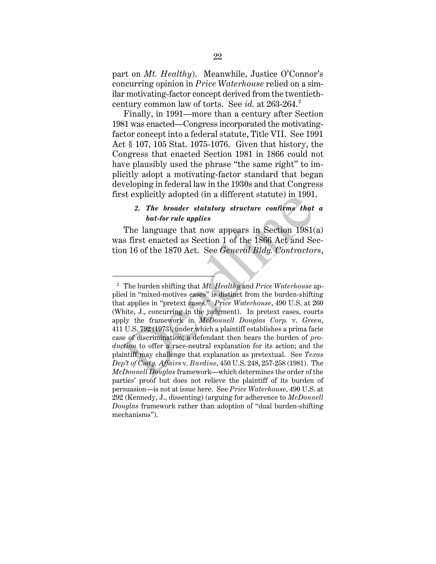part on *Mt. Healthy*). Meanwhile, Justice O'Connor's concurring opinion in *Price Waterhouse* relied on a similar motivating-factor concept derived from the twentiethcentury common law of torts. See *id.* at 263-264. 2

Finally, in 1991—more than a century after Section 1981 was enacted—Congress incorporated the motivatingfactor concept into a federal statute, Title VII. See 1991 Act § 107, 105 Stat. 1075-1076. Given that history, the Congress that enacted Section 1981 in 1866 could not have plausibly used the phrase "the same right" to implicitly adopt a motivating-factor standard that began developing in federal law in the 1930s and that Congress first explicitly adopted (in a different statute) in 1991.

## *2. The broader statutory structure confirms that a but-for rule applies*

The language that now appears in Section 1981(a) was first enacted as Section 1 of the 1866 Act and Section 16 of the 1870 Act. See *General Bldg. Contractors*,

 $\overline{a}$ 

<sup>2</sup> The burden shifting that *Mt. Healthy* and *Price Waterhouse* applied in "mixed-motives cases" is distinct from the burden-shifting that applies in "pretext cases." *Price Waterhouse*, 490 U.S. at 260 (White, J., concurring in the judgment). In pretext cases, courts apply the framework in *McDonnell Douglas Corp.* v. *Green*, 411 U.S. 792 (1973), under which a plaintiff establishes a prima facie case of discrimination; a defendant then bears the burden of *production* to offer a race-neutral explanation for its action; and the plaintiff may challenge that explanation as pretextual. See *Texas Dep't of Cmty. Affairs* v. *Burdine*, 450 U.S. 248, 257-258 (1981). The *McDonnell Douglas* framework—which determines the order of the parties' proof but does not relieve the plaintiff of its burden of persuasion—is not at issue here. See *Price Waterhouse*, 490 U.S. at 292 (Kennedy, J., dissenting) (arguing for adherence to *McDonnell Douglas* framework rather than adoption of "dual burden-shifting mechanisms"). 2. The broader statutory structure confirms that<br>
but-for rule applies<br>
The language that now appears in Section 1981<br>
as first enacted as Section 1 of the 1866 Act and Se<br>
on 16 of the 1870 Act. See *General Bldg. Contra*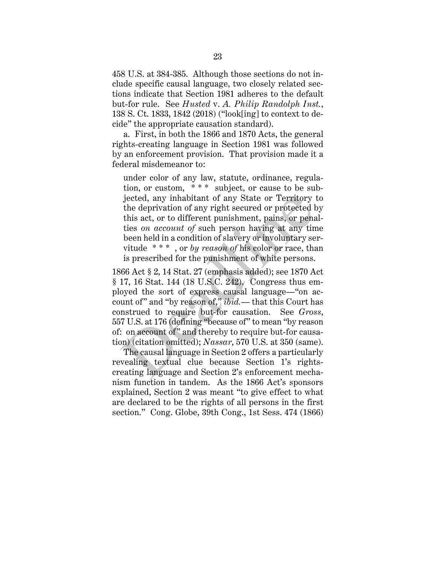458 U.S. at 384-385. Although those sections do not include specific causal language, two closely related sections indicate that Section 1981 adheres to the default but-for rule. See *Husted* v. *A. Philip Randolph Inst.*, 138 S. Ct. 1833, 1842 (2018) ("look[ing] to context to decide" the appropriate causation standard).

a. First, in both the 1866 and 1870 Acts, the general rights-creating language in Section 1981 was followed by an enforcement provision. That provision made it a federal misdemeanor to:

under color of any law, statute, ordinance, regulation, or custom, \* \* \* subject, or cause to be subjected, any inhabitant of any State or Territory to the deprivation of any right secured or protected by this act, or to different punishment, pains, or penalties *on account of* such person having at any time been held in a condition of slavery or involuntary servitude \* \* \* , or *by reason of* his color or race, than is prescribed for the punishment of white persons.

1866 Act § 2, 14 Stat. 27 (emphasis added); see 1870 Act § 17, 16 Stat. 144 (18 U.S.C. 242). Congress thus employed the sort of express causal language—"on account of" and "by reason of," *ibid.*— that this Court has construed to require but-for causation. See *Gross*, 557 U.S. at 176 (defining "because of" to mean "by reason of: on account of" and thereby to require but-for causation) (citation omitted); *Nassar*, 570 U.S. at 350 (same). jected, any inhabitant of any State or Territory<br>the deprivation of any right secured or protected b<br>this act, or to different punishment, pains, or pena<br>ties *on account of* such person having at any tin<br>been held in a c

The causal language in Section 2 offers a particularly revealing textual clue because Section 1's rightscreating language and Section 2's enforcement mechanism function in tandem. As the 1866 Act's sponsors explained, Section 2 was meant "to give effect to what are declared to be the rights of all persons in the first section." Cong. Globe, 39th Cong., 1st Sess. 474 (1866)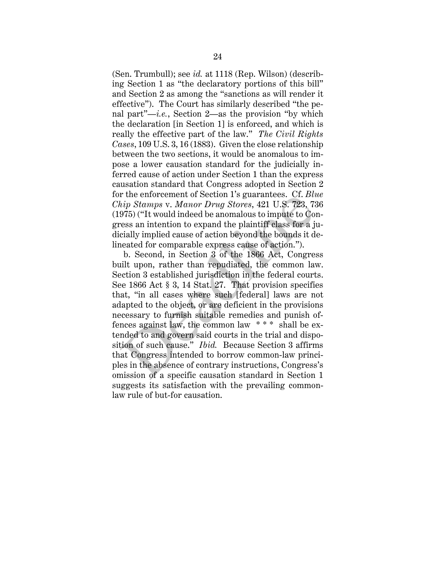(Sen. Trumbull); see *id.* at 1118 (Rep. Wilson) (describing Section 1 as "the declaratory portions of this bill" and Section 2 as among the "sanctions as will render it effective"). The Court has similarly described "the penal part"—*i.e.*, Section 2—as the provision "by which the declaration [in Section 1] is enforced, and which is really the effective part of the law." *The Civil Rights Cases*, 109 U.S. 3, 16 (1883). Given the close relationship between the two sections, it would be anomalous to impose a lower causation standard for the judicially inferred cause of action under Section 1 than the express causation standard that Congress adopted in Section 2 for the enforcement of Section 1's guarantees. Cf. *Blue Chip Stamps* v. *Manor Drug Stores*, 421 U.S. 723, 736 (1975) ("It would indeed be anomalous to impute to Congress an intention to expand the plaintiff class for a judicially implied cause of action beyond the bounds it delineated for comparable express cause of action.").

b. Second, in Section 3 of the 1866 Act, Congress built upon, rather than repudiated, the common law. Section 3 established jurisdiction in the federal courts. See 1866 Act § 3, 14 Stat. 27. That provision specifies that, "in all cases where such [federal] laws are not adapted to the object, or are deficient in the provisions necessary to furnish suitable remedies and punish offences against law, the common law \* \* \* shall be extended to and govern said courts in the trial and disposition of such cause." *Ibid.* Because Section 3 affirms that Congress intended to borrow common-law principles in the absence of contrary instructions, Congress's omission of a specific causation standard in Section 1 suggests its satisfaction with the prevailing commonlaw rule of but -for causation. For the emorement of section 1 s guarantees. Cf. Butiny Stamps v. Manor Drug Stores, 421 U.S. 723, 73, 7975) ("It would indeed be anomalous to impute to Co ess an intention to expand the plaintiff class for a joinly impli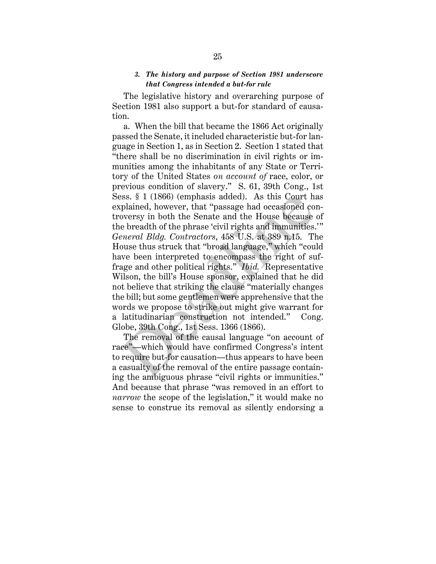#### *3. The history and purpose of Section 1981 underscore that Congress intended a but-for rule*

The legislative history and overarching purpose of Section 1981 also support a but-for standard of causation.

a. When the bill that became the 1866 Act originally passed the Senate, it included characteristic but-for language in Section 1, as in Section 2. Section 1 stated that "there shall be no discrimination in civil rights or immunities among the inhabitants of any State or Territory of the United States *on account of* race, color, or previous condition of slavery." S. 61, 39th Cong., 1st Sess. § 1 (1866) (emphasis added). As this Court has explained, however, that "passage had occasioned controversy in both the Senate and the House because of the breadth of the phrase 'civil rights and immunities.'" *General Bldg. Contractors*, 458 U.S. at 389 n.15. The House thus struck that "broad language," which "could have been interpreted to encompass the right of suffrage and other political rights." *Ibid.* Representative Wilson, the bill's House sponsor, explained that he did not believe that striking the clause "materially changes the bill; but some gentlemen were apprehensive that the words we propose to strike out might give warrant for a latitudinarian construction not intended." Cong. Globe, 39th Cong., 1st Sess. 1366 (1866). sss. § 1 (1866) (emphasis added). As this Court hiplained, however, that "passage had occasioned co<br>oversy in both the Senate and the House because<br>e breadth of the phrase 'civil rights and immunities.<br>*eneral Bldg. Contr* 

The removal of the causal language "on account of race"—which would have confirmed Congress's intent to require but-for causation—thus appears to have been a casualty of the removal of the entire passage containing the ambiguous phrase "civil rights or immunities." And because that phrase "was removed in an effort to *narrow* the scope of the legislation," it would make no sense to construe its removal as silently endorsing a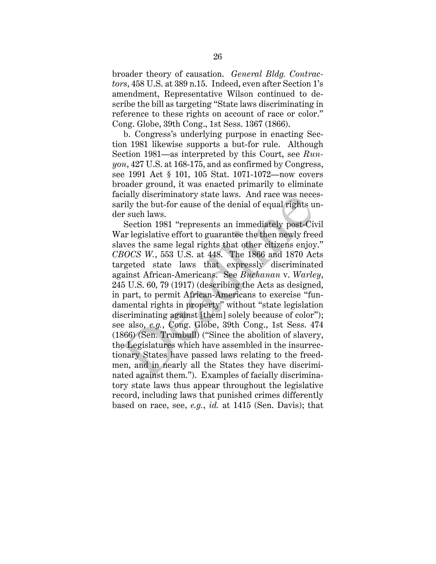broader theory of causation. *General Bldg. Contractors*, 458 U.S. at 389 n.15. Indeed, even after Section 1's amendment, Representative Wilson continued to describe the bill as targeting "State laws discriminating in reference to these rights on account of race or color." Cong. Globe, 39th Cong., 1st Sess. 1367 (1866).

b. Congress's underlying purpose in enacting Section 1981 likewise supports a but-for rule. Although Section 1981—as interpreted by this Court, see *Runyon*, 427 U.S. at 168-175, and as confirmed by Congress, see 1991 Act § 101, 105 Stat. 1071-1072—now covers broader ground, it was enacted primarily to eliminate facially discriminatory state laws. And race was necessarily the but-for cause of the denial of equal rights under such laws.

Section 1981 "represents an immediately post-Civil War legislative effort to guarantee the then newly freed slaves the same legal rights that other citizens enjoy." *CBOCS W.*, 553 U.S. at 448. The 1866 and 1870 Acts targeted state laws that expressly discriminated against African-Americans. See *Buchanan* v. *Warley*, 245 U.S. 60, 79 (1917) (describing the Acts as designed, in part, to permit African-Americans to exercise "fundamental rights in property" without "state legislation discriminating against [them] solely because of color"); see also, *e.g.*, Cong. Globe, 39th Cong., 1st Sess. 474 (1866) (Sen. Trumbull) ("Since the abolition of slavery, the Legislatures which have assembled in the insurrectionary States have passed laws relating to the freedmen, and in nearly all the States they have discriminated against them."). Examples of facially discriminatory state laws thus appear throughout the legislative record, including laws that punished crimes differently based on race, see, *e.g.*, *id.* at 1415 (Sen. Davis); that chain discriminatory state laws. And race was nece<br>rily the but-for cause of the denial of equal rights u<br>r such laws.<br>Section 1981 "represents an immediately post-Civ<br>ar legislative effort to guarantee the then newly fre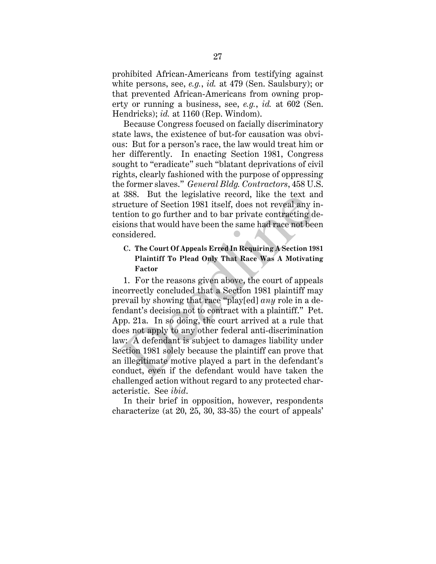prohibited African-Americans from testifying against white persons, see, *e.g.*, *id.* at 479 (Sen. Saulsbury); or that prevented African-Americans from owning property or running a business, see, *e.g.*, *id.* at 602 (Sen. Hendricks); *id.* at 1160 (Rep. Windom).

Because Congress focused on facially discriminatory state laws, the existence of but-for causation was obvious: But for a person's race, the law would treat him or her differently. In enacting Section 1981, Congress sought to "eradicate" such "blatant deprivations of civil rights, clearly fashioned with the purpose of oppressing the former slaves." *General Bldg. Contractors*, 458 U.S. at 388. But the legislative record, like the text and structure of Section 1981 itself, does not reveal any intention to go further and to bar private contracting decisions that would have been the same had race not been considered.

## **C. The Court Of Appeals Erred In Requiring A Section 1981 Plaintiff To Plead Only That Race Was A Motivating Factor**

1. For the reasons given above, the court of appeals incorrectly concluded that a Section 1981 plaintiff may prevail by showing that race "play[ed] *any* role in a defendant's decision not to contract with a plaintiff." Pet. App. 21a. In so doing, the court arrived at a rule that does not apply to any other federal anti-discrimination law: A defendant is subject to damages liability under Section 1981 solely because the plaintiff can prove that an illegitimate motive played a part in the defendant's conduct, even if the defendant would have taken the challenged action without regard to any protected characteristic. See *ibid*. Soo. But the legislative record, like the text and reactive of Section 1981 itself, does not reveal any is mition to go further and to bar private contracting d<br>sions that would have been the same had race not been sidered

In their brief in opposition, however, respondents characterize (at 20, 25, 30, 33-35) the court of appeals'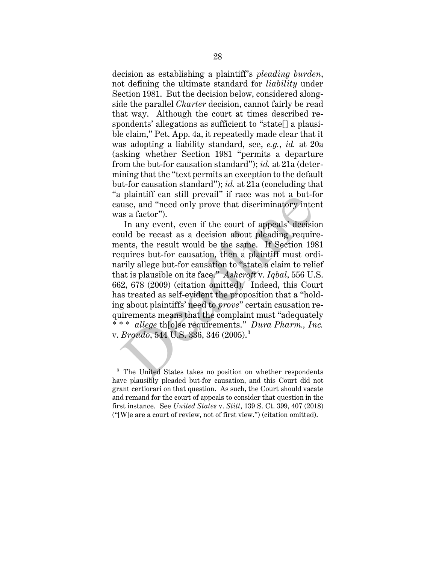decision as establishing a plaintiff's *pleading burden*, not defining the ultimate standard for *liability* under Section 1981. But the decision below, considered alongside the parallel *Charter* decision, cannot fairly be read that way. Although the court at times described respondents' allegations as sufficient to "state[] a plausible claim," Pet. App. 4a, it repeatedly made clear that it was adopting a liability standard, see, *e.g.*, *id.* at 20a (asking whether Section 1981 "permits a departure from the but-for causation standard"); *id.* at 21a (determining that the "text permits an exception to the default but-for causation standard"); *id.* at 21a (concluding that "a plaintiff can still prevail" if race was not a but-for cause, and "need only prove that discriminatory intent was a factor").

In any event, even if the court of appeals' decision could be recast as a decision about pleading requirements, the result would be the same. If Section 1981 requires but-for causation, then a plaintiff must ordinarily allege but-for causation to "state a claim to relief that is plausible on its face." *Ashcroft* v. *Iqbal*, 556 U.S. 662, 678 (2009) (citation omitted). Indeed, this Court has treated as self-evident the proposition that a "holding about plaintiffs' need to *prove*" certain causation requirements means that the complaint must "adequately \* \* \* *allege* th[o]se requirements." *Dura Pharm., Inc.* v. *Broudo*, 544 U.S. 336, 346 (2005).3 plannin can sun prevail in race was not a but-riff use, and "need only prove that discriminatory interes a factor").<br>
In any event, even if the court of appeals' decision also a factor").<br>
In any event, even if the court

 $\overline{a}$ 

<sup>&</sup>lt;sup>3</sup> The United States takes no position on whether respondents have plausibly pleaded but-for causation, and this Court did not grant certiorari on that question. As such, the Court should vacate and remand for the court of appeals to consider that question in the first instance. See *United States* v. *Stitt*, 139 S. Ct. 399, 407 (2018) ("[W]e are a court of review, not of first view.") (citation omitted).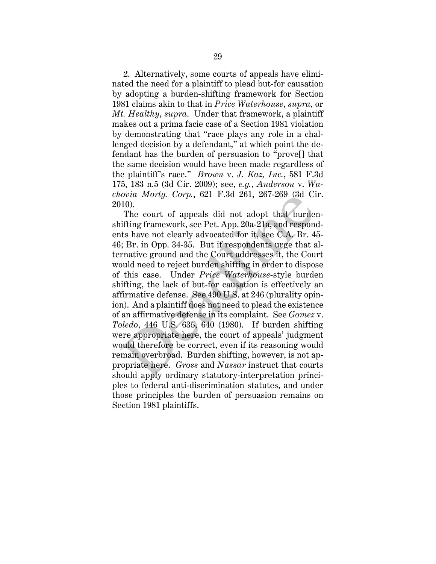2. Alternatively, some courts of appeals have eliminated the need for a plaintiff to plead but-for causation by adopting a burden-shifting framework for Section 1981 claims akin to that in *Price Waterhouse*, *supra*, or *Mt. Healthy*, *supra*. Under that framework, a plaintiff makes out a prima facie case of a Section 1981 violation by demonstrating that "race plays any role in a challenged decision by a defendant," at which point the defendant has the burden of persuasion to "prove[] that the same decision would have been made regardless of the plaintiff's race." *Brown* v. *J. Kaz, Inc.*, 581 F.3d 175, 183 n.5 (3d Cir. 2009); see, *e.g.*, *Anderson* v. *Wachovia Mortg. Corp.*, 621 F.3d 261, 267-269 (3d Cir. 2010).

The court of appeals did not adopt that burdenshifting framework, see Pet. App. 20a-21a, and respondents have not clearly advocated for it, see C.A. Br. 45- 46; Br. in Opp. 34-35. But if respondents urge that alternative ground and the Court addresses it, the Court would need to reject burden shifting in order to dispose of this case. Under *Price Waterhouse*-style burden shifting, the lack of but-for causation is effectively an affirmative defense. See 490 U.S. at 246 (plurality opinion). And a plaintiff does not need to plead the existence of an affirmative defense in its complaint. See *Gomez* v. *Toledo*, 446 U.S. 635, 640 (1980). If burden shifting were appropriate here, the court of appeals' judgment would therefore be correct, even if its reasoning would remain overbroad. Burden shifting, however, is not appropriate here. *Gross* and *Nassar* instruct that courts should apply ordinary statutory-interpretation principles to federal anti-discrimination statutes, and under those principles the burden of persuasion remains on Section 1981 plaintiffs. bord *Morty.* Corp., 621 F.3d 201, 201-209 (sd Cl<br>10).<br>The court of appeals did not adopt that burde<br>ifting framework, see Pet. App. 20a-21a, and respon-<br>its have not clearly advocated for it, see C.A. Br. 4<br>; Br. in Opp.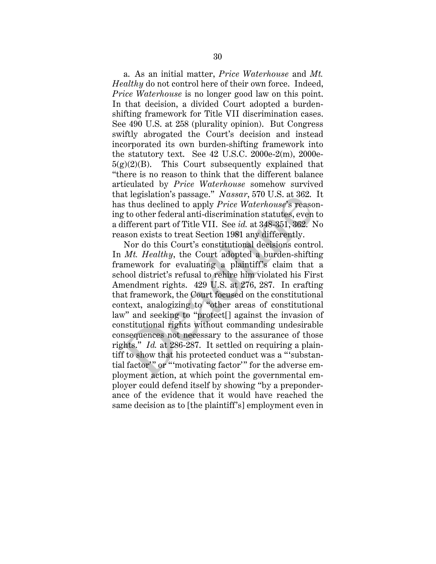a. As an initial matter, *Price Waterhouse* and *Mt. Healthy* do not control here of their own force. Indeed, *Price Waterhouse* is no longer good law on this point. In that decision, a divided Court adopted a burdenshifting framework for Title VII discrimination cases. See 490 U.S. at 258 (plurality opinion). But Congress swiftly abrogated the Court's decision and instead incorporated its own burden-shifting framework into the statutory text. See 42 U.S.C. 2000e-2(m), 2000e- $5(g)(2)(B)$ . This Court subsequently explained that "there is no reason to think that the different balance articulated by *Price Waterhouse* somehow survived that legislation's passage." *Nassar*, 570 U.S. at 362. It has thus declined to apply *Price Waterhouse*'s reasoning to other federal anti-discrimination statutes, even to a different part of Title VII. See *id.* at 348-351, 362. No reason exists to treat Section 1981 any differently.

Nor do this Court's constitutional decisions control. In *Mt. Healthy*, the Court adopted a burden-shifting framework for evaluating a plaintiff's claim that a school district's refusal to rehire him violated his First Amendment rights. 429 U.S. at 276, 287. In crafting that framework, the Court focused on the constitutional context, analogizing to "other areas of constitutional law" and seeking to "protect[] against the invasion of constitutional rights without commanding undesirable consequences not necessary to the assurance of those rights." *Id.* at 286-287. It settled on requiring a plaintiff to show that his protected conduct was a "'substantial factor'" or "'motivating factor'" for the adverse employment action, at which point the governmental employer could defend itself by showing "by a preponderance of the evidence that it would have reached the same decision as to [the plaintiff's] employment even in at legislation's passage. Nassar, 510 U.S. at 362.<br>
is thus declined to apply *Price Waterhouse'*s reaso<br>
g to other federal anti-discrimination statutes, even<br>
different part of Title VII. See *id.* at 348-351, 362.<br>
Nor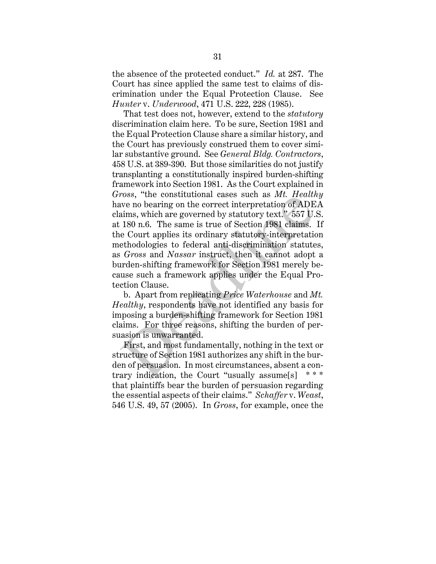the absence of the protected conduct." *Id.* at 287. The Court has since applied the same test to claims of discrimination under the Equal Protection Clause. See *Hunter* v. *Underwood*, 471 U.S. 222, 228 (1985).

That test does not, however, extend to the *statutory* discrimination claim here. To be sure, Section 1981 and the Equal Protection Clause share a similar history, and the Court has previously construed them to cover similar substantive ground. See *General Bldg. Contractors*, 458 U.S. at 389-390. But those similarities do not justify transplanting a constitutionally inspired burden-shifting framework into Section 1981. As the Court explained in *Gross*, "the constitutional cases such as *Mt. Healthy* have no bearing on the correct interpretation of ADEA claims, which are governed by statutory text." 557 U.S. at 180 n.6. The same is true of Section 1981 claims. If the Court applies its ordinary statutory-interpretation methodologies to federal anti-discrimination statutes, as *Gross* and *Nassar* instruct, then it cannot adopt a burden-shifting framework for Section 1981 merely because such a framework applies under the Equal Protection Clause. ross, the constitutional cases such as  $ML$ . Heath<br>we no bearing on the correct interpretation of ADE<br>aims, which are governed by statutory text." 557 U.<br>180 n.6. The same is true of Section 1981 claims.<br>e Court applies it

b. Apart from replicating *Price Waterhouse* and *Mt. Healthy*, respondents have not identified any basis for imposing a burden-shifting framework for Section 1981 claims. For three reasons, shifting the burden of persuasion is unwarranted.

First, and most fundamentally, nothing in the text or structure of Section 1981 authorizes any shift in the burden of persuasion. In most circumstances, absent a contrary indication, the Court "usually assume $[s]$ that plaintiffs bear the burden of persuasion regarding the essential aspects of their claims." *Schaffer* v. *Weast*, 546 U.S. 49, 57 (2005). In *Gross*, for example, once the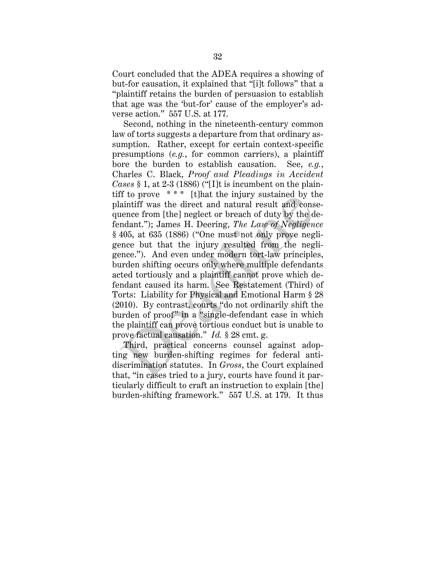Court concluded that the ADEA requires a showing of but-for causation, it explained that "[i]t follows" that a "plaintiff retains the burden of persuasion to establish that age was the 'but-for' cause of the employer's adverse action." 557 U.S. at 177.

Second, nothing in the nineteenth-century common law of torts suggests a departure from that ordinary assumption. Rather, except for certain context-specific presumptions (*e.g.*, for common carriers), a plaintiff bore the burden to establish causation. See, *e.g.*, Charles C. Black, *Proof and Pleadings in Accident Cases* § 1, at 2-3 (1886) ("[I]t is incumbent on the plaintiff to prove  $***$  [t]hat the injury sustained by the plaintiff was the direct and natural result and consequence from [the] neglect or breach of duty by the defendant."); James H. Deering, *The Law of Negligence* § 405, at 635 (1886) ("One must not only prove negligence but that the injury resulted from the negligence."). And even under modern tort-law principles, burden shifting occurs only where multiple defendants acted tortiously and a plaintiff cannot prove which defendant caused its harm. See Restatement (Third) of Torts: Liability for Physical and Emotional Harm § 28 (2010). By contrast, courts "do not ordinarily shift the burden of proof" in a "single-defendant case in which the plaintiff can prove tortious conduct but is unable to prove factual causation." *Id.* § 28 cmt. g. If the matrix the direct and natural result and considerate from [the] neglect or breach of duty by the d ndant."); James H. Deering, *The Law of Negligen* 405, at 635 (1886) ("One must not only prove neg mee but that the

Third, practical concerns counsel against adopting new burden-shifting regimes for federal antidiscrimination statutes. In *Gross*, the Court explained that, "in cases tried to a jury, courts have found it particularly difficult to craft an instruction to explain [the] burden-shifting framework." 557 U.S. at 179. It thus